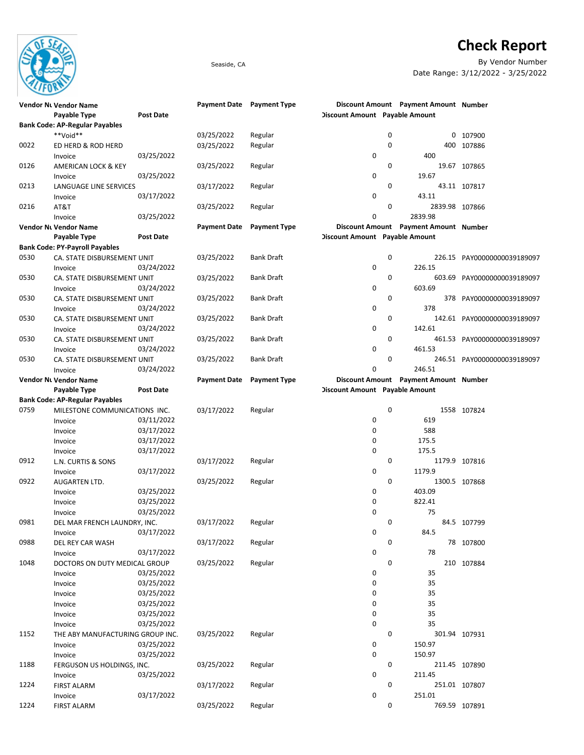

## Check Report

Seaside, CA By Vendor Number Date Range: 3/12/2022 - 3/25/2022

|      | Vendor Nt Vendor Name<br>Payable Type | <b>Post Date</b> | Payment Date Payment Type |                     | Discount Amount Payable Amount |             | Discount Amount Payment Amount Number |                             |
|------|---------------------------------------|------------------|---------------------------|---------------------|--------------------------------|-------------|---------------------------------------|-----------------------------|
|      | <b>Bank Code: AP-Regular Payables</b> |                  |                           |                     |                                |             |                                       |                             |
|      | **Void**                              |                  | 03/25/2022                | Regular             |                                | 0           |                                       | 0 107900                    |
| 0022 | ED HERD & ROD HERD                    |                  | 03/25/2022                | Regular             |                                | 0           |                                       | 400 107886                  |
|      | Invoice                               | 03/25/2022       |                           |                     | 0                              |             | 400                                   |                             |
| 0126 | AMERICAN LOCK & KEY                   |                  | 03/25/2022                | Regular             |                                | 0           |                                       | 19.67 107865                |
|      |                                       | 03/25/2022       |                           |                     | 0                              |             | 19.67                                 |                             |
|      | Invoice                               |                  |                           |                     |                                | 0           |                                       |                             |
| 0213 | LANGUAGE LINE SERVICES                |                  | 03/17/2022                | Regular             | 0                              |             | 43.11                                 | 43.11 107817                |
|      | Invoice                               | 03/17/2022       |                           |                     |                                |             |                                       |                             |
| 0216 | AT&T                                  |                  | 03/25/2022                | Regular             |                                | $\mathbf 0$ | 2839.98 107866                        |                             |
|      | Invoice                               | 03/25/2022       |                           |                     | 0                              |             | 2839.98                               |                             |
|      | Vendor Nt Vendor Name                 |                  | <b>Payment Date</b>       | <b>Payment Type</b> |                                |             | Discount Amount Payment Amount Number |                             |
|      | Payable Type                          | <b>Post Date</b> |                           |                     | Discount Amount Payable Amount |             |                                       |                             |
|      | <b>Bank Code: PY-Payroll Payables</b> |                  |                           |                     |                                |             |                                       |                             |
| 0530 | CA. STATE DISBURSEMENT UNIT           |                  | 03/25/2022                | <b>Bank Draft</b>   |                                | 0           |                                       | 226.15 PAY00000000039189097 |
|      | Invoice                               | 03/24/2022       |                           |                     | 0                              |             | 226.15                                |                             |
| 0530 | CA. STATE DISBURSEMENT UNIT           |                  | 03/25/2022                | <b>Bank Draft</b>   |                                | 0           |                                       | 603.69 PAY00000000039189097 |
|      | Invoice                               | 03/24/2022       |                           |                     | 0                              |             | 603.69                                |                             |
| 0530 | CA. STATE DISBURSEMENT UNIT           |                  | 03/25/2022                | <b>Bank Draft</b>   |                                | 0           |                                       | 378 PAY00000000039189097    |
|      | Invoice                               | 03/24/2022       |                           |                     | 0                              |             | 378                                   |                             |
| 0530 | CA. STATE DISBURSEMENT UNIT           |                  | 03/25/2022                | <b>Bank Draft</b>   |                                | 0           |                                       | 142.61 PAY00000000039189097 |
|      | Invoice                               | 03/24/2022       |                           |                     | 0                              |             | 142.61                                |                             |
| 0530 | CA. STATE DISBURSEMENT UNIT           |                  | 03/25/2022                | <b>Bank Draft</b>   |                                | 0           |                                       | 461.53 PAY00000000039189097 |
|      | Invoice                               | 03/24/2022       |                           |                     | 0                              |             | 461.53                                |                             |
| 0530 | CA. STATE DISBURSEMENT UNIT           |                  | 03/25/2022                | <b>Bank Draft</b>   |                                | 0           |                                       | 246.51 PAY00000000039189097 |
|      | Invoice                               | 03/24/2022       |                           |                     | 0                              |             | 246.51                                |                             |
|      | Vendor Nt Vendor Name                 |                  | <b>Payment Date</b>       | <b>Payment Type</b> |                                |             | Discount Amount Payment Amount Number |                             |
|      | Payable Type                          | <b>Post Date</b> |                           |                     | Discount Amount Payable Amount |             |                                       |                             |
|      | <b>Bank Code: AP-Regular Payables</b> |                  |                           |                     |                                |             |                                       |                             |
| 0759 | MILESTONE COMMUNICATIONS INC.         |                  | 03/17/2022                | Regular             |                                | 0           |                                       | 1558 107824                 |
|      | Invoice                               | 03/11/2022       |                           |                     | 0                              |             | 619                                   |                             |
|      | Invoice                               | 03/17/2022       |                           |                     | 0                              |             | 588                                   |                             |
|      | Invoice                               | 03/17/2022       |                           |                     | 0                              |             | 175.5                                 |                             |
|      | Invoice                               | 03/17/2022       |                           |                     | 0                              |             | 175.5                                 |                             |
| 0912 | L.N. CURTIS & SONS                    |                  | 03/17/2022                | Regular             |                                | 0           |                                       | 1179.9 107816               |
|      |                                       | 03/17/2022       |                           |                     | 0                              |             | 1179.9                                |                             |
| 0922 | Invoice                               |                  | 03/25/2022                |                     |                                | 0           |                                       |                             |
|      | AUGARTEN LTD.                         |                  |                           | Regular             | 0                              |             | 403.09                                | 1300.5 107868               |
|      | Invoice                               | 03/25/2022       |                           |                     |                                |             |                                       |                             |
|      | Invoice                               | 03/25/2022       |                           |                     | 0                              |             | 822.41                                |                             |
|      | Invoice                               | 03/25/2022       |                           |                     | 0                              |             | 75                                    |                             |
| 0981 | DEL MAR FRENCH LAUNDRY, INC.          |                  | 03/17/2022                | Regular             |                                | 0           |                                       | 84.5 107799                 |
|      | Invoice                               | 03/17/2022       |                           |                     | 0                              |             | 84.5                                  |                             |
| 0988 | DEL REY CAR WASH                      |                  | 03/17/2022                | Regular             |                                | 0           |                                       | 78 107800                   |
|      | Invoice                               | 03/17/2022       |                           |                     | 0                              |             | 78                                    |                             |
| 1048 | DOCTORS ON DUTY MEDICAL GROUP         |                  | 03/25/2022                | Regular             |                                | 0           |                                       | 210 107884                  |
|      | Invoice                               | 03/25/2022       |                           |                     | 0                              |             | 35                                    |                             |
|      | Invoice                               | 03/25/2022       |                           |                     | 0                              |             | 35                                    |                             |
|      | Invoice                               | 03/25/2022       |                           |                     | 0                              |             | 35                                    |                             |
|      | Invoice                               | 03/25/2022       |                           |                     | 0                              |             | 35                                    |                             |
|      | Invoice                               | 03/25/2022       |                           |                     | 0                              |             | 35                                    |                             |
|      | Invoice                               | 03/25/2022       |                           |                     | 0                              |             | 35                                    |                             |
| 1152 | THE ABY MANUFACTURING GROUP INC.      |                  | 03/25/2022                | Regular             |                                | 0           |                                       | 301.94 107931               |
|      | Invoice                               | 03/25/2022       |                           |                     | 0                              |             | 150.97                                |                             |
|      | Invoice                               | 03/25/2022       |                           |                     | 0                              |             | 150.97                                |                             |
| 1188 | FERGUSON US HOLDINGS, INC.            |                  | 03/25/2022                | Regular             |                                | 0           |                                       | 211.45 107890               |
|      | Invoice                               | 03/25/2022       |                           |                     | 0                              |             | 211.45                                |                             |
| 1224 | <b>FIRST ALARM</b>                    |                  | 03/17/2022                | Regular             |                                | 0           |                                       | 251.01 107807               |
|      | Invoice                               | 03/17/2022       |                           |                     | 0                              |             | 251.01                                |                             |
| 1224 | <b>FIRST ALARM</b>                    |                  | 03/25/2022                | Regular             |                                | 0           |                                       | 769.59 107891               |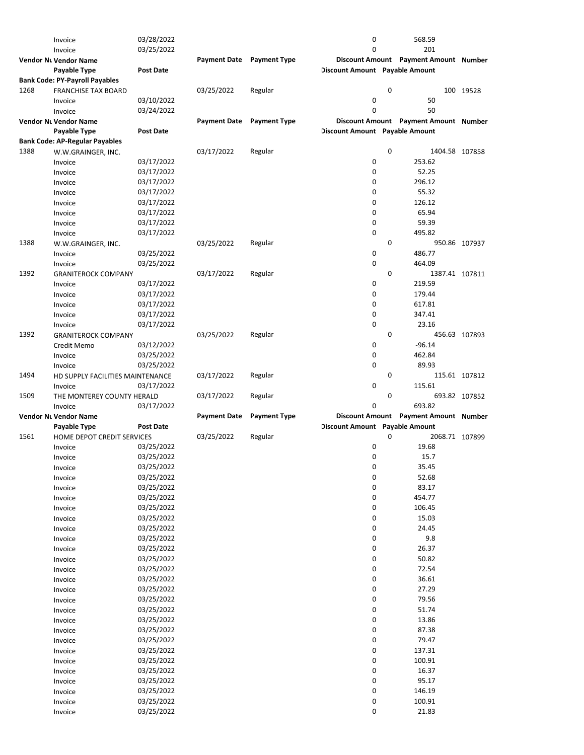|      | Invoice                               | 03/28/2022               |                     |                     | 0                                     |   | 568.59                                |               |
|------|---------------------------------------|--------------------------|---------------------|---------------------|---------------------------------------|---|---------------------------------------|---------------|
|      | Invoice                               | 03/25/2022               |                     |                     | 0                                     |   | 201                                   |               |
|      | <b>Vendor Nt Vendor Name</b>          |                          | <b>Payment Date</b> | <b>Payment Type</b> |                                       |   | Discount Amount Payment Amount Number |               |
|      | <b>Payable Type</b>                   | <b>Post Date</b>         |                     |                     | <b>Discount Amount</b> Payable Amount |   |                                       |               |
|      | <b>Bank Code: PY-Payroll Payables</b> |                          |                     |                     |                                       |   |                                       |               |
| 1268 | <b>FRANCHISE TAX BOARD</b>            |                          | 03/25/2022          | Regular             |                                       | 0 |                                       | 100 19528     |
|      | Invoice                               | 03/10/2022               |                     |                     | 0                                     |   | 50                                    |               |
|      | Invoice                               | 03/24/2022               |                     |                     | 0                                     |   | 50                                    |               |
|      | <b>Vendor Nt Vendor Name</b>          |                          | <b>Payment Date</b> | <b>Payment Type</b> |                                       |   | Discount Amount Payment Amount Number |               |
|      | <b>Payable Type</b>                   | <b>Post Date</b>         |                     |                     | <b>Discount Amount Payable Amount</b> |   |                                       |               |
|      | <b>Bank Code: AP-Regular Payables</b> |                          |                     |                     |                                       |   |                                       |               |
|      |                                       |                          | 03/17/2022          |                     |                                       | 0 | 1404.58 107858                        |               |
| 1388 | W.W.GRAINGER, INC.                    |                          |                     | Regular             |                                       |   |                                       |               |
|      | Invoice                               | 03/17/2022               |                     |                     | 0                                     |   | 253.62                                |               |
|      | Invoice                               | 03/17/2022               |                     |                     | 0                                     |   | 52.25                                 |               |
|      | Invoice                               | 03/17/2022               |                     |                     | 0                                     |   | 296.12                                |               |
|      | Invoice                               | 03/17/2022               |                     |                     | 0                                     |   | 55.32                                 |               |
|      | Invoice                               | 03/17/2022               |                     |                     | 0                                     |   | 126.12                                |               |
|      | Invoice                               | 03/17/2022               |                     |                     | 0                                     |   | 65.94                                 |               |
|      | Invoice                               | 03/17/2022               |                     |                     | 0                                     |   | 59.39                                 |               |
|      | Invoice                               | 03/17/2022               |                     |                     | 0                                     |   | 495.82                                |               |
| 1388 | W.W.GRAINGER, INC.                    |                          | 03/25/2022          | Regular             |                                       | 0 |                                       | 950.86 107937 |
|      | Invoice                               | 03/25/2022               |                     |                     | 0                                     |   | 486.77                                |               |
|      | Invoice                               | 03/25/2022               |                     |                     | 0                                     |   | 464.09                                |               |
| 1392 | <b>GRANITEROCK COMPANY</b>            |                          | 03/17/2022          | Regular             |                                       | 0 | 1387.41 107811                        |               |
|      | Invoice                               | 03/17/2022               |                     |                     | 0                                     |   | 219.59                                |               |
|      | Invoice                               | 03/17/2022               |                     |                     | 0                                     |   | 179.44                                |               |
|      | Invoice                               | 03/17/2022               |                     |                     | 0                                     |   | 617.81                                |               |
|      | Invoice                               | 03/17/2022               |                     |                     | 0                                     |   | 347.41                                |               |
|      | Invoice                               | 03/17/2022               |                     |                     | 0                                     |   | 23.16                                 |               |
| 1392 | <b>GRANITEROCK COMPANY</b>            |                          | 03/25/2022          | Regular             |                                       | 0 |                                       | 456.63 107893 |
|      | Credit Memo                           | 03/12/2022               |                     |                     | 0                                     |   | $-96.14$                              |               |
|      |                                       | 03/25/2022               |                     |                     | 0                                     |   | 462.84                                |               |
|      | Invoice                               |                          |                     |                     | 0                                     |   | 89.93                                 |               |
|      | Invoice                               | 03/25/2022               |                     |                     |                                       |   |                                       |               |
|      |                                       |                          |                     |                     |                                       |   |                                       |               |
| 1494 | HD SUPPLY FACILITIES MAINTENANCE      |                          | 03/17/2022          | Regular             |                                       | 0 | 115.61 107812                         |               |
|      | Invoice                               | 03/17/2022               |                     |                     | 0                                     |   | 115.61                                |               |
| 1509 | THE MONTEREY COUNTY HERALD            |                          | 03/17/2022          | Regular             |                                       | 0 |                                       | 693.82 107852 |
|      | Invoice                               | 03/17/2022               |                     |                     | 0                                     |   | 693.82                                |               |
|      | Vendor Nt Vendor Name                 |                          | <b>Payment Date</b> | <b>Payment Type</b> |                                       |   | Discount Amount Payment Amount Number |               |
|      | Payable Type                          | <b>Post Date</b>         |                     |                     | <b>Discount Amount Payable Amount</b> |   |                                       |               |
| 1561 | HOME DEPOT CREDIT SERVICES            |                          | 03/25/2022          | Regular             |                                       | 0 | 2068.71 107899                        |               |
|      | Invoice                               | 03/25/2022               |                     |                     | 0                                     |   | 19.68                                 |               |
|      | Invoice                               | 03/25/2022               |                     |                     | 0                                     |   | 15.7                                  |               |
|      | Invoice                               | 03/25/2022               |                     |                     | 0                                     |   | 35.45                                 |               |
|      | Invoice                               | 03/25/2022               |                     |                     | 0                                     |   | 52.68                                 |               |
|      | Invoice                               | 03/25/2022               |                     |                     | 0                                     |   | 83.17                                 |               |
|      | Invoice                               | 03/25/2022               |                     |                     | 0                                     |   | 454.77                                |               |
|      | Invoice                               | 03/25/2022               |                     |                     | 0                                     |   | 106.45                                |               |
|      | Invoice                               | 03/25/2022               |                     |                     | 0                                     |   | 15.03                                 |               |
|      | Invoice                               | 03/25/2022               |                     |                     | 0                                     |   | 24.45                                 |               |
|      |                                       | 03/25/2022               |                     |                     | 0                                     |   | 9.8                                   |               |
|      | Invoice                               |                          |                     |                     |                                       |   |                                       |               |
|      | Invoice                               | 03/25/2022               |                     |                     | 0                                     |   | 26.37                                 |               |
|      | Invoice                               | 03/25/2022               |                     |                     | 0                                     |   | 50.82                                 |               |
|      | Invoice                               | 03/25/2022               |                     |                     | 0                                     |   | 72.54                                 |               |
|      | Invoice                               | 03/25/2022               |                     |                     | 0                                     |   | 36.61                                 |               |
|      | Invoice                               | 03/25/2022               |                     |                     | 0                                     |   | 27.29                                 |               |
|      | Invoice                               | 03/25/2022               |                     |                     | 0                                     |   | 79.56                                 |               |
|      | Invoice                               | 03/25/2022               |                     |                     | 0                                     |   | 51.74                                 |               |
|      | Invoice                               | 03/25/2022               |                     |                     | 0                                     |   | 13.86                                 |               |
|      | Invoice                               | 03/25/2022               |                     |                     | 0                                     |   | 87.38                                 |               |
|      | Invoice                               | 03/25/2022               |                     |                     | 0                                     |   | 79.47                                 |               |
|      | Invoice                               | 03/25/2022               |                     |                     | 0                                     |   | 137.31                                |               |
|      | Invoice                               | 03/25/2022               |                     |                     | 0                                     |   | 100.91                                |               |
|      | Invoice                               | 03/25/2022               |                     |                     | 0                                     |   | 16.37                                 |               |
|      | Invoice                               | 03/25/2022               |                     |                     | 0                                     |   | 95.17                                 |               |
|      | Invoice                               | 03/25/2022               |                     |                     | 0                                     |   | 146.19                                |               |
|      | Invoice                               | 03/25/2022<br>03/25/2022 |                     |                     | 0<br>0                                |   | 100.91<br>21.83                       |               |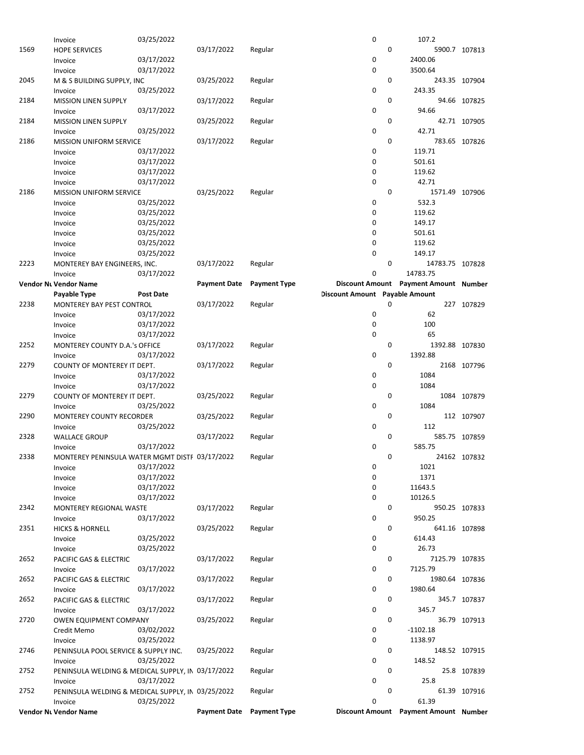|      | Invoice                                           | 03/25/2022       |                     |                     | 0                                     |   | 107.2                                 |               |
|------|---------------------------------------------------|------------------|---------------------|---------------------|---------------------------------------|---|---------------------------------------|---------------|
| 1569 | <b>HOPE SERVICES</b>                              |                  | 03/17/2022          | Regular             |                                       | 0 |                                       | 5900.7 107813 |
|      | Invoice                                           | 03/17/2022       |                     |                     | 0                                     |   | 2400.06                               |               |
|      | Invoice                                           | 03/17/2022       |                     |                     | 0                                     |   | 3500.64                               |               |
| 2045 | M & S BUILDING SUPPLY, INC                        |                  | 03/25/2022          | Regular             |                                       | 0 |                                       | 243.35 107904 |
|      | Invoice                                           | 03/25/2022       |                     |                     | 0                                     |   | 243.35                                |               |
| 2184 | <b>MISSION LINEN SUPPLY</b>                       |                  | 03/17/2022          | Regular             |                                       | 0 |                                       | 94.66 107825  |
|      | Invoice                                           | 03/17/2022       |                     |                     | 0                                     |   | 94.66                                 |               |
| 2184 | MISSION LINEN SUPPLY                              |                  | 03/25/2022          | Regular             |                                       | 0 |                                       | 42.71 107905  |
|      | Invoice                                           | 03/25/2022       |                     |                     | 0                                     |   | 42.71                                 |               |
| 2186 | <b>MISSION UNIFORM SERVICE</b>                    |                  | 03/17/2022          | Regular             |                                       | 0 |                                       | 783.65 107826 |
|      | Invoice                                           | 03/17/2022       |                     |                     | 0                                     |   | 119.71                                |               |
|      | Invoice                                           | 03/17/2022       |                     |                     | 0                                     |   | 501.61                                |               |
|      | Invoice                                           | 03/17/2022       |                     |                     | 0                                     |   | 119.62                                |               |
|      | Invoice                                           | 03/17/2022       |                     |                     | 0                                     |   | 42.71                                 |               |
| 2186 | <b>MISSION UNIFORM SERVICE</b>                    |                  | 03/25/2022          |                     |                                       | 0 | 1571.49 107906                        |               |
|      |                                                   |                  |                     | Regular             | 0                                     |   | 532.3                                 |               |
|      | Invoice                                           | 03/25/2022       |                     |                     |                                       |   |                                       |               |
|      | Invoice                                           | 03/25/2022       |                     |                     | 0                                     |   | 119.62                                |               |
|      | Invoice                                           | 03/25/2022       |                     |                     | 0                                     |   | 149.17                                |               |
|      | Invoice                                           | 03/25/2022       |                     |                     | 0                                     |   | 501.61                                |               |
|      | Invoice                                           | 03/25/2022       |                     |                     | 0                                     |   | 119.62                                |               |
|      | Invoice                                           | 03/25/2022       |                     |                     | 0                                     |   | 149.17                                |               |
| 2223 | MONTEREY BAY ENGINEERS, INC.                      |                  | 03/17/2022          | Regular             |                                       | 0 | 14783.75 107828                       |               |
|      | Invoice                                           | 03/17/2022       |                     |                     | 0                                     |   | 14783.75                              |               |
|      | Vendor Nı Vendor Name                             |                  | <b>Payment Date</b> | <b>Payment Type</b> |                                       |   | Discount Amount Payment Amount Number |               |
|      | Payable Type                                      | <b>Post Date</b> |                     |                     | <b>Discount Amount</b> Payable Amount |   |                                       |               |
| 2238 | MONTEREY BAY PEST CONTROL                         |                  | 03/17/2022          | Regular             |                                       | 0 |                                       | 227 107829    |
|      | Invoice                                           | 03/17/2022       |                     |                     | 0                                     |   | 62                                    |               |
|      | Invoice                                           | 03/17/2022       |                     |                     | 0                                     |   | 100                                   |               |
|      | Invoice                                           | 03/17/2022       |                     |                     | 0                                     |   | 65                                    |               |
| 2252 | MONTEREY COUNTY D.A.'s OFFICE                     |                  | 03/17/2022          | Regular             |                                       | 0 | 1392.88 107830                        |               |
|      | Invoice                                           | 03/17/2022       |                     |                     | 0                                     |   | 1392.88                               |               |
| 2279 | COUNTY OF MONTEREY IT DEPT.                       |                  | 03/17/2022          | Regular             |                                       | 0 |                                       | 2168 107796   |
|      | Invoice                                           | 03/17/2022       |                     |                     | 0                                     |   | 1084                                  |               |
|      | Invoice                                           | 03/17/2022       |                     |                     | 0                                     |   | 1084                                  |               |
| 2279 | COUNTY OF MONTEREY IT DEPT.                       |                  | 03/25/2022          | Regular             |                                       | 0 |                                       | 1084 107879   |
|      | Invoice                                           | 03/25/2022       |                     |                     | 0                                     |   | 1084                                  |               |
| 2290 | MONTEREY COUNTY RECORDER                          |                  | 03/25/2022          | Regular             |                                       | 0 |                                       | 112 107907    |
|      | Invoice                                           | 03/25/2022       |                     |                     | 0                                     |   | 112                                   |               |
| 2328 | <b>WALLACE GROUP</b>                              |                  | 03/17/2022          | Regular             |                                       | 0 |                                       | 585.75 107859 |
|      | Invoice                                           | 03/17/2022       |                     |                     | 0                                     |   | 585.75                                |               |
| 2338 | MONTEREY PENINSULA WATER MGMT DISTF 03/17/2022    |                  |                     | Regular             |                                       | 0 |                                       | 24162 107832  |
|      | Invoice                                           | 03/17/2022       |                     |                     | 0                                     |   | 1021                                  |               |
|      | Invoice                                           | 03/17/2022       |                     |                     | 0                                     |   | 1371                                  |               |
|      | Invoice                                           | 03/17/2022       |                     |                     | 0                                     |   | 11643.5                               |               |
|      |                                                   | 03/17/2022       |                     |                     | 0                                     |   | 10126.5                               |               |
|      | Invoice                                           |                  | 03/17/2022          |                     |                                       | 0 |                                       |               |
| 2342 | MONTEREY REGIONAL WASTE                           | 03/17/2022       |                     | Regular             | 0                                     |   | 950.25                                | 950.25 107833 |
|      | Invoice                                           |                  |                     |                     |                                       | 0 |                                       |               |
| 2351 | <b>HICKS &amp; HORNELL</b>                        |                  | 03/25/2022          | Regular             |                                       |   |                                       | 641.16 107898 |
|      | Invoice                                           | 03/25/2022       |                     |                     | 0                                     |   | 614.43                                |               |
|      | Invoice                                           | 03/25/2022       |                     |                     | 0                                     |   | 26.73                                 |               |
| 2652 | PACIFIC GAS & ELECTRIC                            |                  | 03/17/2022          | Regular             |                                       | 0 | 7125.79 107835                        |               |
|      | Invoice                                           | 03/17/2022       |                     |                     | 0                                     |   | 7125.79                               |               |
| 2652 | PACIFIC GAS & ELECTRIC                            |                  | 03/17/2022          | Regular             |                                       | 0 | 1980.64 107836                        |               |
|      | Invoice                                           | 03/17/2022       |                     |                     | 0                                     |   | 1980.64                               |               |
| 2652 | PACIFIC GAS & ELECTRIC                            |                  | 03/17/2022          | Regular             |                                       | 0 |                                       | 345.7 107837  |
|      | Invoice                                           | 03/17/2022       |                     |                     | 0                                     |   | 345.7                                 |               |
| 2720 | OWEN EQUIPMENT COMPANY                            |                  | 03/25/2022          | Regular             |                                       | 0 |                                       | 36.79 107913  |
|      | Credit Memo                                       | 03/02/2022       |                     |                     | 0                                     |   | $-1102.18$                            |               |
|      | Invoice                                           | 03/25/2022       |                     |                     | 0                                     |   | 1138.97                               |               |
| 2746 | PENINSULA POOL SERVICE & SUPPLY INC.              |                  | 03/25/2022          | Regular             |                                       | 0 |                                       | 148.52 107915 |
|      | Invoice                                           | 03/25/2022       |                     |                     | 0                                     |   | 148.52                                |               |
| 2752 | PENINSULA WELDING & MEDICAL SUPPLY, IN 03/17/2022 |                  |                     | Regular             |                                       | 0 |                                       | 25.8 107839   |
|      | Invoice                                           | 03/17/2022       |                     |                     | 0                                     |   | 25.8                                  |               |
| 2752 | PENINSULA WELDING & MEDICAL SUPPLY, IN 03/25/2022 |                  |                     | Regular             |                                       | 0 |                                       | 61.39 107916  |
|      | Invoice                                           | 03/25/2022       |                     |                     | 0                                     |   | 61.39                                 |               |
|      | Vendor Nt Vendor Name                             |                  | <b>Payment Date</b> | <b>Payment Type</b> |                                       |   | Discount Amount Payment Amount Number |               |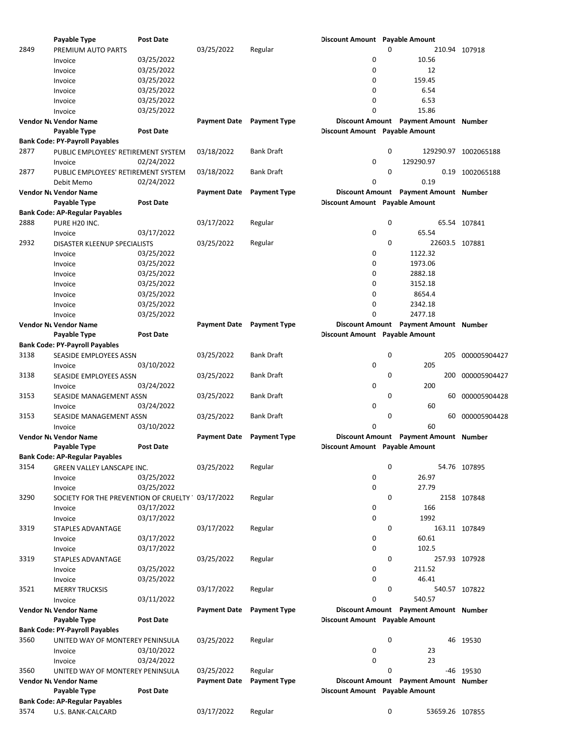|      | Payable Type                                     | <b>Post Date</b> |                     |                     | <b>Discount Amount</b> Payable Amount |   |                                       |                      |
|------|--------------------------------------------------|------------------|---------------------|---------------------|---------------------------------------|---|---------------------------------------|----------------------|
| 2849 | PREMIUM AUTO PARTS                               |                  | 03/25/2022          | Regular             |                                       | 0 |                                       | 210.94 107918        |
|      | Invoice                                          | 03/25/2022       |                     |                     | 0                                     |   | 10.56                                 |                      |
|      | Invoice                                          | 03/25/2022       |                     |                     | 0                                     |   | 12                                    |                      |
|      | Invoice                                          | 03/25/2022       |                     |                     | 0                                     |   | 159.45                                |                      |
|      | Invoice                                          | 03/25/2022       |                     |                     | 0                                     |   | 6.54                                  |                      |
|      |                                                  | 03/25/2022       |                     |                     | 0                                     |   | 6.53                                  |                      |
|      | Invoice                                          |                  |                     |                     |                                       |   |                                       |                      |
|      | Invoice                                          | 03/25/2022       |                     |                     | 0                                     |   | 15.86                                 |                      |
|      | Vendor Nı Vendor Name                            |                  | <b>Payment Date</b> | <b>Payment Type</b> |                                       |   | Discount Amount Payment Amount Number |                      |
|      | <b>Payable Type</b>                              | <b>Post Date</b> |                     |                     | <b>Discount Amount Payable Amount</b> |   |                                       |                      |
|      | <b>Bank Code: PY-Payroll Payables</b>            |                  |                     |                     |                                       |   |                                       |                      |
| 2877 | PUBLIC EMPLOYEES' RETIREMENT SYSTEM              |                  | 03/18/2022          | <b>Bank Draft</b>   |                                       | 0 |                                       | 129290.97 1002065188 |
|      | Invoice                                          | 02/24/2022       |                     |                     | 0                                     |   | 129290.97                             |                      |
| 2877 | PUBLIC EMPLOYEES' RETIREMENT SYSTEM              |                  | 03/18/2022          | <b>Bank Draft</b>   |                                       | 0 |                                       | 0.19 1002065188      |
|      | Debit Memo                                       | 02/24/2022       |                     |                     | 0                                     |   | 0.19                                  |                      |
|      | Vendor Nı Vendor Name                            |                  | <b>Payment Date</b> | <b>Payment Type</b> |                                       |   | Discount Amount Payment Amount Number |                      |
|      | Payable Type                                     | <b>Post Date</b> |                     |                     | <b>Discount Amount</b> Payable Amount |   |                                       |                      |
|      | <b>Bank Code: AP-Regular Payables</b>            |                  |                     |                     |                                       |   |                                       |                      |
| 2888 | PURE H20 INC.                                    |                  | 03/17/2022          | Regular             |                                       | 0 |                                       | 65.54 107841         |
|      | Invoice                                          | 03/17/2022       |                     |                     | 0                                     |   | 65.54                                 |                      |
|      |                                                  |                  |                     |                     |                                       | 0 |                                       |                      |
| 2932 | DISASTER KLEENUP SPECIALISTS                     |                  | 03/25/2022          | Regular             |                                       |   | 22603.5 107881                        |                      |
|      | Invoice                                          | 03/25/2022       |                     |                     | 0                                     |   | 1122.32                               |                      |
|      | Invoice                                          | 03/25/2022       |                     |                     | 0                                     |   | 1973.06                               |                      |
|      | Invoice                                          | 03/25/2022       |                     |                     | 0                                     |   | 2882.18                               |                      |
|      | Invoice                                          | 03/25/2022       |                     |                     | 0                                     |   | 3152.18                               |                      |
|      | Invoice                                          | 03/25/2022       |                     |                     | 0                                     |   | 8654.4                                |                      |
|      | Invoice                                          | 03/25/2022       |                     |                     | 0                                     |   | 2342.18                               |                      |
|      | Invoice                                          | 03/25/2022       |                     |                     | 0                                     |   | 2477.18                               |                      |
|      | Vendor Nı Vendor Name                            |                  | <b>Payment Date</b> | <b>Payment Type</b> |                                       |   | Discount Amount Payment Amount Number |                      |
|      | Payable Type                                     | <b>Post Date</b> |                     |                     | <b>Discount Amount</b> Payable Amount |   |                                       |                      |
|      | <b>Bank Code: PY-Payroll Payables</b>            |                  |                     |                     |                                       |   |                                       |                      |
| 3138 | SEASIDE EMPLOYEES ASSN                           |                  | 03/25/2022          | <b>Bank Draft</b>   |                                       | 0 | 205                                   | 000005904427         |
|      |                                                  |                  |                     |                     | 0                                     |   | 205                                   |                      |
|      | Invoice                                          | 03/10/2022       |                     |                     |                                       |   |                                       |                      |
| 3138 | SEASIDE EMPLOYEES ASSN                           |                  | 03/25/2022          | <b>Bank Draft</b>   |                                       | 0 | 200                                   | 000005904427         |
|      | Invoice                                          | 03/24/2022       |                     |                     | 0                                     |   | 200                                   |                      |
| 3153 | SEASIDE MANAGEMENT ASSN                          |                  | 03/25/2022          | <b>Bank Draft</b>   |                                       | 0 | 60                                    | 000005904428         |
|      | Invoice                                          | 03/24/2022       |                     |                     | 0                                     |   | 60                                    |                      |
| 3153 | <b>SEASIDE MANAGEMENT ASSN</b>                   |                  | 03/25/2022          | <b>Bank Draft</b>   |                                       | 0 |                                       | 60 000005904428      |
|      | Invoice                                          | 03/10/2022       |                     |                     | 0                                     |   | 60                                    |                      |
|      | <b>Vendor Nt Vendor Name</b>                     |                  | <b>Payment Date</b> | <b>Payment Type</b> |                                       |   | Discount Amount Payment Amount Number |                      |
|      | <b>Payable Type</b>                              | <b>Post Date</b> |                     |                     | <b>Discount Amount</b> Payable Amount |   |                                       |                      |
|      | Bank Code: AP-Regular Payables                   |                  |                     |                     |                                       |   |                                       |                      |
| 3154 | GREEN VALLEY LANSCAPE INC.                       |                  | 03/25/2022          | Regular             |                                       | 0 |                                       | 54.76 107895         |
|      | Invoice                                          | 03/25/2022       |                     |                     | 0                                     |   | 26.97                                 |                      |
|      |                                                  | 03/25/2022       |                     |                     | 0                                     |   | 27.79                                 |                      |
|      | Invoice                                          |                  |                     |                     |                                       |   |                                       |                      |
| 3290 | SOCIETY FOR THE PREVENTION OF CRUELTY 03/17/2022 |                  |                     | Regular             |                                       | 0 |                                       | 2158 107848          |
|      | Invoice                                          | 03/17/2022       |                     |                     | 0                                     |   | 166                                   |                      |
|      | Invoice                                          | 03/17/2022       |                     |                     | 0                                     |   | 1992                                  |                      |
| 3319 | STAPLES ADVANTAGE                                |                  | 03/17/2022          | Regular             |                                       | 0 |                                       | 163.11 107849        |
|      | Invoice                                          | 03/17/2022       |                     |                     | 0                                     |   | 60.61                                 |                      |
|      | Invoice                                          | 03/17/2022       |                     |                     | 0                                     |   | 102.5                                 |                      |
| 3319 | <b>STAPLES ADVANTAGE</b>                         |                  | 03/25/2022          | Regular             |                                       | 0 |                                       | 257.93 107928        |
|      | Invoice                                          | 03/25/2022       |                     |                     | 0                                     |   | 211.52                                |                      |
|      | Invoice                                          | 03/25/2022       |                     |                     | 0                                     |   | 46.41                                 |                      |
| 3521 | <b>MERRY TRUCKSIS</b>                            |                  | 03/17/2022          | Regular             |                                       | 0 |                                       | 540.57 107822        |
|      | Invoice                                          | 03/11/2022       |                     |                     | 0                                     |   | 540.57                                |                      |
|      |                                                  |                  |                     |                     |                                       |   | Discount Amount Payment Amount Number |                      |
|      | <b>Vendor Nt Vendor Name</b>                     |                  | <b>Payment Date</b> | <b>Payment Type</b> |                                       |   |                                       |                      |
|      | Payable Type                                     | <b>Post Date</b> |                     |                     | <b>Discount Amount</b> Payable Amount |   |                                       |                      |
|      | <b>Bank Code: PY-Payroll Payables</b>            |                  |                     |                     |                                       |   |                                       |                      |
| 3560 | UNITED WAY OF MONTEREY PENINSULA                 |                  | 03/25/2022          | Regular             |                                       | 0 |                                       | 46 19530             |
|      | Invoice                                          | 03/10/2022       |                     |                     | 0                                     |   | 23                                    |                      |
|      | Invoice                                          | 03/24/2022       |                     |                     | 0                                     |   | 23                                    |                      |
| 3560 | UNITED WAY OF MONTEREY PENINSULA                 |                  | 03/25/2022          | Regular             |                                       | 0 |                                       | -46 19530            |
|      | Vendor Nı Vendor Name                            |                  | <b>Payment Date</b> | <b>Payment Type</b> |                                       |   | Discount Amount Payment Amount Number |                      |
|      | Payable Type                                     | <b>Post Date</b> |                     |                     | Discount Amount Payable Amount        |   |                                       |                      |
|      | <b>Bank Code: AP-Regular Payables</b>            |                  |                     |                     |                                       |   |                                       |                      |
| 3574 | U.S. BANK-CALCARD                                |                  | 03/17/2022          | Regular             |                                       | 0 | 53659.26 107855                       |                      |
|      |                                                  |                  |                     |                     |                                       |   |                                       |                      |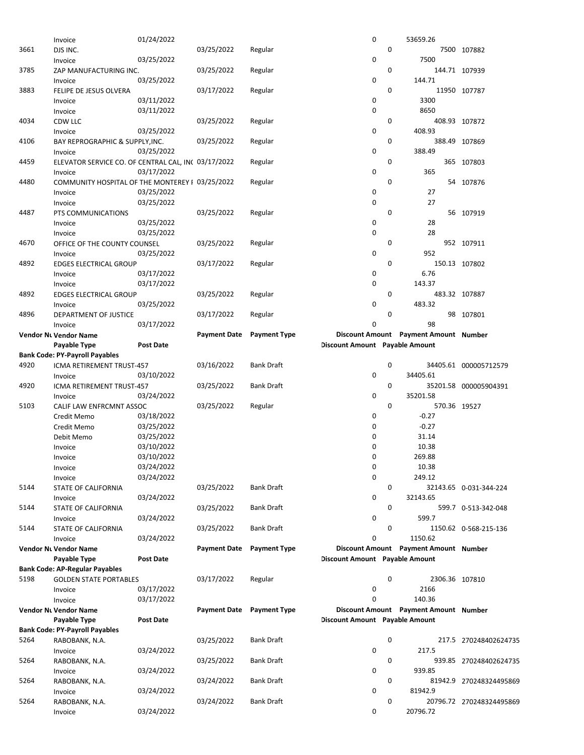|      | Invoice                                             | 01/24/2022       |                     |                     | 0                                     |   | 53659.26                              |                          |
|------|-----------------------------------------------------|------------------|---------------------|---------------------|---------------------------------------|---|---------------------------------------|--------------------------|
| 3661 | DJS INC.                                            |                  | 03/25/2022          | Regular             |                                       | 0 |                                       | 7500 107882              |
|      | Invoice                                             | 03/25/2022       |                     |                     | 0                                     |   | 7500                                  |                          |
|      |                                                     |                  |                     |                     |                                       |   |                                       |                          |
| 3785 | ZAP MANUFACTURING INC.                              |                  | 03/25/2022          | Regular             |                                       | 0 |                                       | 144.71 107939            |
|      | Invoice                                             | 03/25/2022       |                     |                     | 0                                     |   | 144.71                                |                          |
| 3883 | FELIPE DE JESUS OLVERA                              |                  | 03/17/2022          | Regular             |                                       | 0 |                                       | 11950 107787             |
|      | Invoice                                             | 03/11/2022       |                     |                     | 0                                     |   | 3300                                  |                          |
|      | Invoice                                             | 03/11/2022       |                     |                     | 0                                     |   | 8650                                  |                          |
| 4034 | CDW LLC                                             |                  | 03/25/2022          | Regular             |                                       | 0 |                                       | 408.93 107872            |
|      |                                                     | 03/25/2022       |                     |                     | 0                                     |   | 408.93                                |                          |
|      | Invoice                                             |                  |                     |                     |                                       |   |                                       |                          |
| 4106 | BAY REPROGRAPHIC & SUPPLY, INC.                     |                  | 03/25/2022          | Regular             |                                       | 0 |                                       | 388.49 107869            |
|      | Invoice                                             | 03/25/2022       |                     |                     | 0                                     |   | 388.49                                |                          |
| 4459 | ELEVATOR SERVICE CO. OF CENTRAL CAL, INC 03/17/2022 |                  |                     | Regular             |                                       | 0 |                                       | 365 107803               |
|      | Invoice                                             | 03/17/2022       |                     |                     | 0                                     |   | 365                                   |                          |
| 4480 | COMMUNITY HOSPITAL OF THE MONTEREY I 03/25/2022     |                  |                     | Regular             |                                       | 0 |                                       | 54 107876                |
|      | Invoice                                             | 03/25/2022       |                     |                     | 0                                     |   | 27                                    |                          |
|      | Invoice                                             | 03/25/2022       |                     |                     | 0                                     |   | 27                                    |                          |
|      |                                                     |                  |                     |                     |                                       | 0 |                                       |                          |
| 4487 | PTS COMMUNICATIONS                                  |                  | 03/25/2022          | Regular             |                                       |   |                                       | 56 107919                |
|      | Invoice                                             | 03/25/2022       |                     |                     | 0                                     |   | 28                                    |                          |
|      | Invoice                                             | 03/25/2022       |                     |                     | 0                                     |   | 28                                    |                          |
| 4670 | OFFICE OF THE COUNTY COUNSEL                        |                  | 03/25/2022          | Regular             |                                       | 0 |                                       | 952 107911               |
|      | Invoice                                             | 03/25/2022       |                     |                     | 0                                     |   | 952                                   |                          |
| 4892 | <b>EDGES ELECTRICAL GROUP</b>                       |                  | 03/17/2022          | Regular             |                                       | 0 |                                       | 150.13 107802            |
|      | Invoice                                             | 03/17/2022       |                     |                     | 0                                     |   | 6.76                                  |                          |
|      |                                                     |                  |                     |                     |                                       |   |                                       |                          |
|      | Invoice                                             | 03/17/2022       |                     |                     | 0                                     |   | 143.37                                |                          |
| 4892 | <b>EDGES ELECTRICAL GROUP</b>                       |                  | 03/25/2022          | Regular             |                                       | 0 |                                       | 483.32 107887            |
|      | Invoice                                             | 03/25/2022       |                     |                     | 0                                     |   | 483.32                                |                          |
| 4896 | DEPARTMENT OF JUSTICE                               |                  | 03/17/2022          | Regular             |                                       | 0 |                                       | 98 107801                |
|      | Invoice                                             | 03/17/2022       |                     |                     | 0                                     |   | 98                                    |                          |
|      | <b>Vendor Nt Vendor Name</b>                        |                  | <b>Payment Date</b> | <b>Payment Type</b> |                                       |   | Discount Amount Payment Amount Number |                          |
|      | Payable Type                                        | <b>Post Date</b> |                     |                     | <b>Discount Amount</b> Payable Amount |   |                                       |                          |
|      |                                                     |                  |                     |                     |                                       |   |                                       |                          |
|      | <b>Bank Code: PY-Payroll Payables</b>               |                  |                     |                     |                                       |   |                                       |                          |
| 4920 | ICMA RETIREMENT TRUST-457                           |                  | 03/16/2022          | <b>Bank Draft</b>   |                                       | 0 |                                       | 34405.61 000005712579    |
|      | Invoice                                             | 03/10/2022       |                     |                     | 0                                     |   | 34405.61                              |                          |
| 4920 | ICMA RETIREMENT TRUST-457                           |                  | 03/25/2022          | <b>Bank Draft</b>   |                                       | 0 |                                       | 35201.58 000005904391    |
|      | Invoice                                             | 03/24/2022       |                     |                     | 0                                     |   | 35201.58                              |                          |
| 5103 | CALIF LAW ENFRCMNT ASSOC                            |                  | 03/25/2022          | Regular             |                                       | 0 | 570.36 19527                          |                          |
|      |                                                     | 03/18/2022       |                     |                     | 0                                     |   | $-0.27$                               |                          |
|      | Credit Memo                                         |                  |                     |                     |                                       |   |                                       |                          |
|      | Credit Memo                                         | 03/25/2022       |                     |                     | 0                                     |   | $-0.27$                               |                          |
|      | Debit Memo                                          | 03/25/2022       |                     |                     | 0                                     |   | 31.14                                 |                          |
|      | Invoice                                             | 03/10/2022       |                     |                     | 0                                     |   | 10.38                                 |                          |
|      | Invoice                                             | 03/10/2022       |                     |                     | 0                                     |   | 269.88                                |                          |
|      | Invoice                                             | 03/24/2022       |                     |                     | 0                                     |   | 10.38                                 |                          |
|      | Invoice                                             | 03/24/2022       |                     |                     | 0                                     |   | 249.12                                |                          |
|      |                                                     |                  |                     |                     |                                       |   |                                       |                          |
| 5144 | STATE OF CALIFORNIA                                 |                  | 03/25/2022          | <b>Bank Draft</b>   |                                       | 0 |                                       | 32143.65 0-031-344-224   |
|      | Invoice                                             | 03/24/2022       |                     |                     | 0                                     |   | 32143.65                              |                          |
| 5144 | STATE OF CALIFORNIA                                 |                  | 03/25/2022          | <b>Bank Draft</b>   |                                       | 0 |                                       | 599.7 0-513-342-048      |
|      | Invoice                                             | 03/24/2022       |                     |                     | 0                                     |   | 599.7                                 |                          |
| 5144 | STATE OF CALIFORNIA                                 |                  | 03/25/2022          | <b>Bank Draft</b>   |                                       | 0 |                                       | 1150.62  0-568-215-136   |
|      | Invoice                                             | 03/24/2022       |                     |                     | 0                                     |   | 1150.62                               |                          |
|      | <b>Vendor Nt Vendor Name</b>                        |                  | Payment Date        | <b>Payment Type</b> |                                       |   | Discount Amount Payment Amount Number |                          |
|      |                                                     |                  |                     |                     |                                       |   |                                       |                          |
|      | <b>Payable Type</b>                                 | <b>Post Date</b> |                     |                     | <b>Discount Amount</b> Payable Amount |   |                                       |                          |
|      | <b>Bank Code: AP-Regular Payables</b>               |                  |                     |                     |                                       |   |                                       |                          |
| 5198 | <b>GOLDEN STATE PORTABLES</b>                       |                  | 03/17/2022          | Regular             |                                       | 0 | 2306.36 107810                        |                          |
|      | Invoice                                             | 03/17/2022       |                     |                     | 0                                     |   | 2166                                  |                          |
|      | Invoice                                             | 03/17/2022       |                     |                     | 0                                     |   | 140.36                                |                          |
|      | <b>Vendor Nt Vendor Name</b>                        |                  | <b>Payment Date</b> | <b>Payment Type</b> |                                       |   | Discount Amount Payment Amount Number |                          |
|      | Payable Type                                        | <b>Post Date</b> |                     |                     | <b>Discount Amount</b> Payable Amount |   |                                       |                          |
|      |                                                     |                  |                     |                     |                                       |   |                                       |                          |
|      | <b>Bank Code: PY-Payroll Payables</b>               |                  |                     |                     |                                       |   |                                       |                          |
| 5264 | RABOBANK, N.A.                                      |                  | 03/25/2022          | <b>Bank Draft</b>   |                                       | 0 |                                       | 217.5 270248402624735    |
|      | Invoice                                             | 03/24/2022       |                     |                     | 0                                     |   | 217.5                                 |                          |
| 5264 | RABOBANK, N.A.                                      |                  | 03/25/2022          | <b>Bank Draft</b>   |                                       | 0 |                                       | 939.85 270248402624735   |
|      | Invoice                                             | 03/24/2022       |                     |                     | 0                                     |   | 939.85                                |                          |
| 5264 | RABOBANK, N.A.                                      |                  | 03/24/2022          | <b>Bank Draft</b>   |                                       | 0 |                                       | 81942.9 270248324495869  |
|      | Invoice                                             | 03/24/2022       |                     |                     | 0                                     |   | 81942.9                               |                          |
|      |                                                     |                  |                     |                     |                                       |   |                                       |                          |
| 5264 | RABOBANK, N.A.                                      |                  | 03/24/2022          | <b>Bank Draft</b>   |                                       | 0 |                                       | 20796.72 270248324495869 |
|      | Invoice                                             | 03/24/2022       |                     |                     | 0                                     |   | 20796.72                              |                          |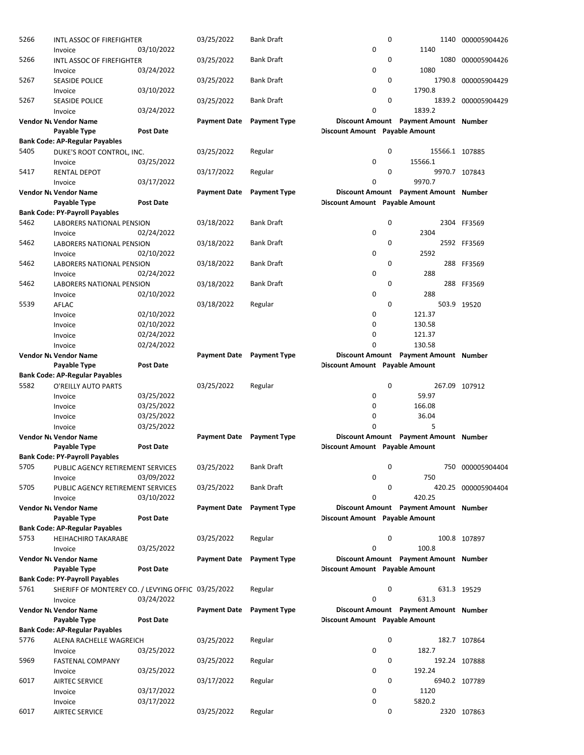| 5266 | <b>INTL ASSOC OF FIREFIGHTER</b><br>Invoice        | 03/10/2022       | 03/25/2022          | <b>Bank Draft</b>   | 0                                     | $\mathbf 0$ | 1140                                  | 1140 000005904426   |
|------|----------------------------------------------------|------------------|---------------------|---------------------|---------------------------------------|-------------|---------------------------------------|---------------------|
| 5266 | <b>INTL ASSOC OF FIREFIGHTER</b>                   |                  | 03/25/2022          | <b>Bank Draft</b>   |                                       | 0           | 1080                                  | 000005904426        |
|      | Invoice                                            | 03/24/2022       |                     |                     | 0                                     |             | 1080                                  |                     |
| 5267 | <b>SEASIDE POLICE</b><br>Invoice                   | 03/10/2022       | 03/25/2022          | Bank Draft          | 0                                     | 0           | 1790.8                                | 1790.8 000005904429 |
| 5267 | <b>SEASIDE POLICE</b>                              |                  | 03/25/2022          | Bank Draft          |                                       | 0           |                                       | 1839.2 000005904429 |
|      | Invoice                                            | 03/24/2022       |                     |                     | 0                                     |             | 1839.2                                |                     |
|      | Vendor Nı Vendor Name                              |                  | <b>Payment Date</b> | <b>Payment Type</b> |                                       |             | Discount Amount Payment Amount Number |                     |
|      | Payable Type                                       | <b>Post Date</b> |                     |                     | <b>Discount Amount Payable Amount</b> |             |                                       |                     |
|      | Bank Code: AP-Regular Payables                     |                  |                     |                     |                                       |             |                                       |                     |
| 5405 | DUKE'S ROOT CONTROL, INC.                          |                  | 03/25/2022          | Regular             |                                       | 0           | 15566.1 107885                        |                     |
|      | Invoice                                            | 03/25/2022       |                     |                     | 0                                     |             | 15566.1                               |                     |
| 5417 | <b>RENTAL DEPOT</b>                                |                  | 03/17/2022          | Regular             |                                       | 0           |                                       | 9970.7 107843       |
|      | Invoice                                            | 03/17/2022       |                     |                     | 0                                     |             | 9970.7                                |                     |
|      | Vendor Nı Vendor Name                              |                  | <b>Payment Date</b> | <b>Payment Type</b> |                                       |             | Discount Amount Payment Amount Number |                     |
|      | Payable Type                                       | <b>Post Date</b> |                     |                     | <b>Discount Amount</b> Payable Amount |             |                                       |                     |
|      | <b>Bank Code: PY-Payroll Payables</b>              |                  |                     |                     |                                       |             |                                       |                     |
| 5462 | LABORERS NATIONAL PENSION                          |                  | 03/18/2022          | <b>Bank Draft</b>   |                                       | 0           |                                       | 2304 FF3569         |
|      | Invoice                                            | 02/24/2022       |                     |                     | 0                                     |             | 2304                                  |                     |
| 5462 | <b>LABORERS NATIONAL PENSION</b>                   |                  | 03/18/2022          | <b>Bank Draft</b>   |                                       | 0           |                                       | 2592 FF3569         |
|      | Invoice                                            | 02/10/2022       |                     |                     | 0                                     |             | 2592                                  |                     |
| 5462 | LABORERS NATIONAL PENSION                          |                  | 03/18/2022          | Bank Draft          |                                       | 0           |                                       | 288 FF3569          |
|      | Invoice                                            | 02/24/2022       |                     |                     | 0                                     |             | 288                                   |                     |
| 5462 | LABORERS NATIONAL PENSION                          |                  | 03/18/2022          | Bank Draft          |                                       | 0           |                                       | 288 FF3569          |
|      | Invoice                                            | 02/10/2022       |                     |                     | 0                                     |             | 288                                   |                     |
| 5539 | AFLAC                                              |                  | 03/18/2022          | Regular             |                                       | 0           |                                       | 503.9 19520         |
|      | Invoice                                            | 02/10/2022       |                     |                     | 0                                     |             | 121.37                                |                     |
|      | Invoice                                            | 02/10/2022       |                     |                     | 0                                     |             | 130.58                                |                     |
|      | Invoice                                            | 02/24/2022       |                     |                     | 0                                     |             | 121.37                                |                     |
|      | Invoice                                            | 02/24/2022       |                     |                     | 0                                     |             | 130.58                                |                     |
|      | Vendor Nı Vendor Name                              |                  | <b>Payment Date</b> | <b>Payment Type</b> |                                       |             | Discount Amount Payment Amount Number |                     |
|      | Payable Type                                       | <b>Post Date</b> |                     |                     | <b>Discount Amount</b> Payable Amount |             |                                       |                     |
|      | <b>Bank Code: AP-Regular Payables</b>              |                  |                     |                     |                                       |             |                                       |                     |
| 5582 | O'REILLY AUTO PARTS                                |                  | 03/25/2022          | Regular             |                                       | 0           |                                       | 267.09 107912       |
|      | Invoice                                            | 03/25/2022       |                     |                     | 0                                     |             | 59.97                                 |                     |
|      | Invoice                                            | 03/25/2022       |                     |                     | 0                                     |             | 166.08                                |                     |
|      |                                                    |                  |                     |                     | 0                                     |             | 36.04                                 |                     |
|      | Invoice                                            | 03/25/2022       |                     |                     | 0                                     |             | 5                                     |                     |
|      | Invoice                                            | 03/25/2022       |                     |                     |                                       |             |                                       |                     |
|      | Vendor Nt Vendor Name                              |                  | <b>Payment Date</b> | <b>Payment Type</b> |                                       |             | Discount Amount Payment Amount Number |                     |
|      | <b>Payable Type</b>                                | <b>Post Date</b> |                     |                     | <b>Discount Amount</b> Payable Amount |             |                                       |                     |
|      | <b>Bank Code: PY-Payroll Payables</b>              |                  |                     |                     |                                       |             |                                       |                     |
| 5705 | PUBLIC AGENCY RETIREMENT SERVICES                  |                  | 03/25/2022          | Bank Draft          |                                       | 0           |                                       | 750 000005904404    |
|      | Invoice                                            | 03/09/2022       |                     |                     | 0                                     |             | 750                                   |                     |
| 5705 | PUBLIC AGENCY RETIREMENT SERVICES                  |                  | 03/25/2022          | Bank Draft          |                                       | 0           |                                       | 420.25 000005904404 |
|      | Invoice                                            | 03/10/2022       |                     |                     | 0                                     |             | 420.25                                |                     |
|      | Vendor Nı Vendor Name                              |                  | <b>Payment Date</b> | <b>Payment Type</b> |                                       |             | Discount Amount Payment Amount Number |                     |
|      | Payable Type                                       | <b>Post Date</b> |                     |                     | <b>Discount Amount Payable Amount</b> |             |                                       |                     |
|      | <b>Bank Code: AP-Regular Payables</b>              |                  |                     |                     |                                       |             |                                       |                     |
| 5753 | <b>HEIHACHIRO TAKARABE</b>                         |                  | 03/25/2022          | Regular             |                                       | 0           |                                       | 100.8 107897        |
|      | Invoice                                            | 03/25/2022       |                     |                     | 0                                     |             | 100.8                                 |                     |
|      | Vendor Nı Vendor Name                              |                  | <b>Payment Date</b> | <b>Payment Type</b> |                                       |             | Discount Amount Payment Amount Number |                     |
|      | Payable Type                                       | <b>Post Date</b> |                     |                     | <b>Discount Amount</b> Payable Amount |             |                                       |                     |
|      | <b>Bank Code: PY-Payroll Payables</b>              |                  |                     |                     |                                       |             |                                       |                     |
| 5761 | SHERIFF OF MONTEREY CO. / LEVYING OFFIC 03/25/2022 |                  |                     | Regular             |                                       | 0           |                                       | 631.3 19529         |
|      | Invoice                                            | 03/24/2022       |                     |                     | 0                                     |             | 631.3                                 |                     |
|      | Vendor Nı Vendor Name                              |                  | <b>Payment Date</b> | <b>Payment Type</b> |                                       |             | Discount Amount Payment Amount Number |                     |
|      | Payable Type                                       | <b>Post Date</b> |                     |                     | <b>Discount Amount</b> Payable Amount |             |                                       |                     |
|      | <b>Bank Code: AP-Regular Payables</b>              |                  |                     |                     |                                       |             |                                       |                     |
| 5776 | ALENA RACHELLE WAGREICH                            |                  | 03/25/2022          | Regular             |                                       | 0           |                                       | 182.7 107864        |
|      | Invoice                                            | 03/25/2022       |                     |                     | 0                                     |             | 182.7                                 |                     |
| 5969 | <b>FASTENAL COMPANY</b>                            |                  | 03/25/2022          | Regular             |                                       | 0           |                                       | 192.24 107888       |
|      | Invoice                                            | 03/25/2022       |                     |                     | 0                                     |             | 192.24                                |                     |
| 6017 | <b>AIRTEC SERVICE</b>                              |                  | 03/17/2022          | Regular             |                                       | 0           |                                       | 6940.2 107789       |
|      | Invoice                                            | 03/17/2022       |                     |                     | 0                                     |             | 1120                                  |                     |
|      | Invoice                                            | 03/17/2022       |                     |                     | 0                                     |             | 5820.2                                |                     |
| 6017 | <b>AIRTEC SERVICE</b>                              |                  | 03/25/2022          | Regular             |                                       | 0           |                                       | 2320 107863         |
|      |                                                    |                  |                     |                     |                                       |             |                                       |                     |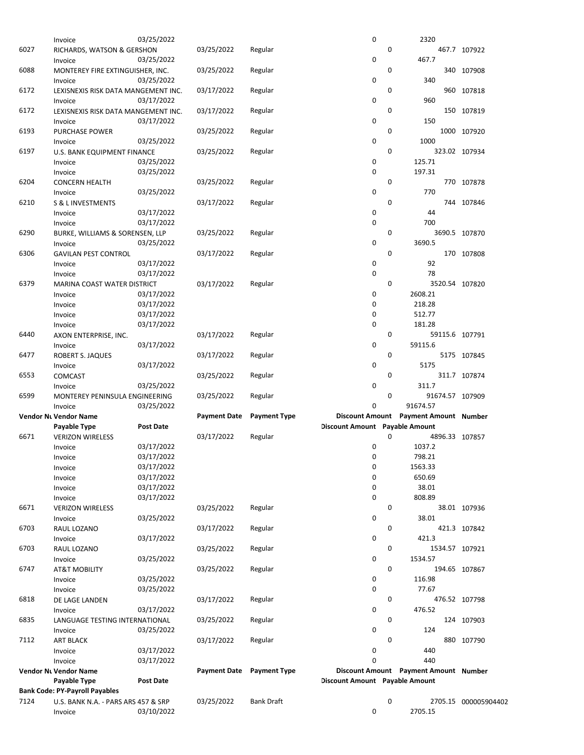|      | Invoice                               | 03/25/2022       |                     |                     | 0                                     |             | 2320                                  |                      |
|------|---------------------------------------|------------------|---------------------|---------------------|---------------------------------------|-------------|---------------------------------------|----------------------|
| 6027 | RICHARDS, WATSON & GERSHON            |                  | 03/25/2022          | Regular             |                                       | 0           |                                       | 467.7 107922         |
|      | Invoice                               | 03/25/2022       |                     |                     | 0                                     |             | 467.7                                 |                      |
| 6088 | MONTEREY FIRE EXTINGUISHER, INC.      |                  | 03/25/2022          | Regular             |                                       | 0           |                                       | 340 107908           |
|      | Invoice                               | 03/25/2022       |                     |                     | 0                                     |             | 340                                   |                      |
| 6172 | LEXISNEXIS RISK DATA MANGEMENT INC.   |                  | 03/17/2022          | Regular             |                                       | 0           |                                       | 960 107818           |
|      | Invoice                               | 03/17/2022       |                     |                     | 0                                     |             | 960                                   |                      |
| 6172 | LEXISNEXIS RISK DATA MANGEMENT INC.   |                  | 03/17/2022          | Regular             |                                       | 0           |                                       | 150 107819           |
|      | Invoice                               | 03/17/2022       |                     |                     | 0                                     |             | 150                                   |                      |
| 6193 | <b>PURCHASE POWER</b>                 |                  | 03/25/2022          | Regular             |                                       | 0           |                                       | 1000 107920          |
|      | Invoice                               | 03/25/2022       |                     |                     | 0                                     |             | 1000                                  |                      |
| 6197 | U.S. BANK EQUIPMENT FINANCE           |                  | 03/25/2022          | Regular             |                                       | $\mathbf 0$ |                                       | 323.02 107934        |
|      | Invoice                               | 03/25/2022       |                     |                     | 0                                     |             | 125.71                                |                      |
|      | Invoice                               | 03/25/2022       |                     |                     | 0                                     |             | 197.31                                |                      |
| 6204 | <b>CONCERN HEALTH</b>                 |                  | 03/25/2022          | Regular             |                                       | 0           |                                       | 770 107878           |
|      | Invoice                               | 03/25/2022       |                     |                     | 0                                     |             | 770                                   |                      |
| 6210 | <b>S &amp; L INVESTMENTS</b>          |                  | 03/17/2022          | Regular             |                                       | $\mathbf 0$ |                                       | 744 107846           |
|      | Invoice                               | 03/17/2022       |                     |                     | 0                                     |             | 44                                    |                      |
|      | Invoice                               | 03/17/2022       |                     |                     | 0                                     |             | 700                                   |                      |
| 6290 | BURKE, WILLIAMS & SORENSEN, LLP       |                  | 03/25/2022          | Regular             |                                       | 0           |                                       | 3690.5 107870        |
|      | Invoice                               | 03/25/2022       |                     |                     | 0                                     |             | 3690.5                                |                      |
| 6306 | <b>GAVILAN PEST CONTROL</b>           |                  | 03/17/2022          | Regular             |                                       | 0           |                                       | 170 107808           |
|      | Invoice                               | 03/17/2022       |                     |                     | 0                                     |             | 92                                    |                      |
|      | Invoice                               | 03/17/2022       |                     |                     | 0                                     |             | 78                                    |                      |
| 6379 | MARINA COAST WATER DISTRICT           |                  | 03/17/2022          | Regular             |                                       | 0           | 3520.54 107820                        |                      |
|      | Invoice                               | 03/17/2022       |                     |                     | 0                                     |             | 2608.21                               |                      |
|      | Invoice                               | 03/17/2022       |                     |                     | 0                                     |             | 218.28                                |                      |
|      | Invoice                               | 03/17/2022       |                     |                     | 0                                     |             | 512.77                                |                      |
|      | Invoice                               | 03/17/2022       |                     |                     | 0                                     |             | 181.28                                |                      |
| 6440 | AXON ENTERPRISE, INC.                 |                  | 03/17/2022          | Regular             |                                       | 0           | 59115.6 107791                        |                      |
|      | Invoice                               | 03/17/2022       |                     |                     | 0                                     |             | 59115.6                               |                      |
| 6477 | ROBERT S. JAQUES                      |                  | 03/17/2022          | Regular             |                                       | 0           |                                       | 5175 107845          |
|      | Invoice                               | 03/17/2022       |                     |                     | 0                                     |             | 5175                                  |                      |
| 6553 | <b>COMCAST</b>                        |                  | 03/25/2022          | Regular             |                                       | $\mathbf 0$ |                                       | 311.7 107874         |
|      | Invoice                               | 03/25/2022       |                     |                     | 0                                     |             | 311.7                                 |                      |
| 6599 | MONTEREY PENINSULA ENGINEERING        |                  | 03/25/2022          | Regular             |                                       | 0           | 91674.57 107909                       |                      |
|      | Invoice                               | 03/25/2022       |                     |                     | 0                                     |             | 91674.57                              |                      |
|      | Vendor Nt Vendor Name                 |                  | <b>Payment Date</b> | <b>Payment Type</b> |                                       |             | Discount Amount Payment Amount Number |                      |
|      | Payable Type                          | <b>Post Date</b> |                     |                     | <b>Discount Amount Payable Amount</b> |             |                                       |                      |
| 6671 | <b>VERIZON WIRELESS</b>               |                  | 03/17/2022          | Regular             |                                       | $\mathbf 0$ | 4896.33 107857                        |                      |
|      | Invoice                               | 03/17/2022       |                     |                     | 0                                     |             | 1037.2                                |                      |
|      | Invoice                               | 03/17/2022       |                     |                     | 0                                     |             | 798.21                                |                      |
|      | Invoice                               | 03/17/2022       |                     |                     | 0                                     |             | 1563.33                               |                      |
|      | Invoice                               | 03/17/2022       |                     |                     | 0                                     |             | 650.69                                |                      |
|      | Invoice                               | 03/17/2022       |                     |                     | 0                                     |             | 38.01                                 |                      |
|      | Invoice                               | 03/17/2022       |                     |                     | 0                                     |             | 808.89                                |                      |
| 6671 | <b>VERIZON WIRELESS</b>               |                  | 03/25/2022          | Regular             |                                       | 0           |                                       | 38.01 107936         |
|      | Invoice                               | 03/25/2022       |                     |                     | 0                                     |             | 38.01                                 |                      |
| 6703 | RAUL LOZANO                           |                  | 03/17/2022          | Regular             |                                       | 0           |                                       | 421.3 107842         |
|      | Invoice                               | 03/17/2022       |                     |                     | 0                                     |             | 421.3                                 |                      |
| 6703 | RAUL LOZANO                           |                  | 03/25/2022          | Regular             |                                       | 0           | 1534.57 107921                        |                      |
|      | Invoice                               | 03/25/2022       |                     |                     | 0                                     |             | 1534.57                               |                      |
| 6747 | <b>AT&amp;T MOBILITY</b>              |                  | 03/25/2022          | Regular             |                                       | 0           |                                       | 194.65 107867        |
|      | Invoice                               | 03/25/2022       |                     |                     | 0                                     |             | 116.98                                |                      |
|      | Invoice                               | 03/25/2022       |                     |                     | 0                                     |             | 77.67                                 |                      |
| 6818 | DE LAGE LANDEN                        |                  | 03/17/2022          | Regular             |                                       | 0           |                                       | 476.52 107798        |
|      | Invoice                               | 03/17/2022       |                     |                     | 0                                     |             | 476.52                                |                      |
| 6835 | LANGUAGE TESTING INTERNATIONAL        |                  | 03/25/2022          | Regular             |                                       | 0           |                                       | 124 107903           |
|      | Invoice                               | 03/25/2022       |                     |                     | 0                                     |             | 124                                   |                      |
| 7112 | <b>ART BLACK</b>                      |                  | 03/17/2022          | Regular             |                                       | 0           |                                       | 880 107790           |
|      | Invoice                               | 03/17/2022       |                     |                     | 0                                     |             | 440                                   |                      |
|      | Invoice                               | 03/17/2022       |                     |                     | 0                                     |             | 440                                   |                      |
|      | Vendor Nt Vendor Name                 |                  | <b>Payment Date</b> | <b>Payment Type</b> |                                       |             | Discount Amount Payment Amount Number |                      |
|      | Payable Type                          | <b>Post Date</b> |                     |                     | <b>Discount Amount</b> Payable Amount |             |                                       |                      |
|      | <b>Bank Code: PY-Payroll Payables</b> |                  |                     |                     |                                       |             |                                       |                      |
| 7124 | U.S. BANK N.A. - PARS ARS 457 & SRP   |                  | 03/25/2022          | <b>Bank Draft</b>   | 0                                     | 0           |                                       | 2705.15 000005904402 |
|      | Invoice                               | 03/10/2022       |                     |                     |                                       |             | 2705.15                               |                      |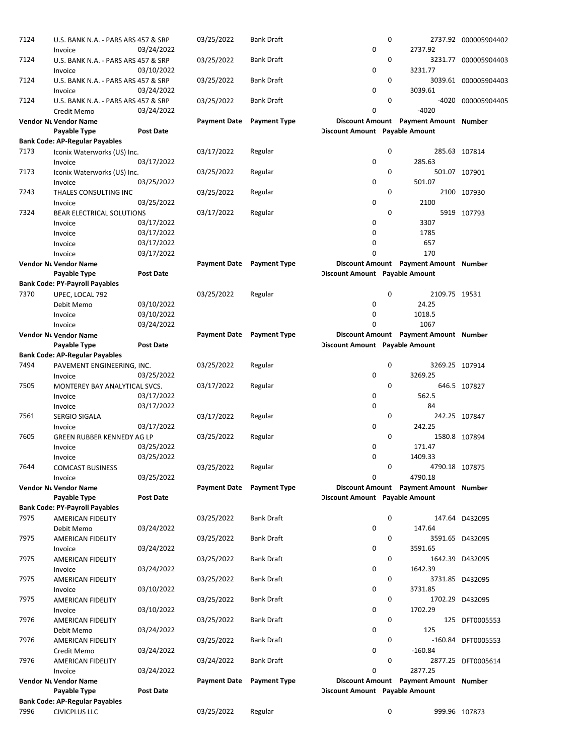| 7124 | U.S. BANK N.A. - PARS ARS 457 & SRP   |                          | 03/25/2022                | <b>Bank Draft</b>   |                                       | 0                                     | 2737.92 000005904402 |
|------|---------------------------------------|--------------------------|---------------------------|---------------------|---------------------------------------|---------------------------------------|----------------------|
|      | Invoice                               | 03/24/2022               |                           |                     | 0                                     | 2737.92                               |                      |
| 7124 | U.S. BANK N.A. - PARS ARS 457 & SRP   |                          | 03/25/2022                | <b>Bank Draft</b>   |                                       | 0                                     | 3231.77 000005904403 |
|      | Invoice                               | 03/10/2022               |                           |                     | 0                                     | 3231.77                               |                      |
| 7124 | U.S. BANK N.A. - PARS ARS 457 & SRP   |                          | 03/25/2022                | <b>Bank Draft</b>   |                                       | 0                                     | 3039.61 000005904403 |
|      | Invoice                               | 03/24/2022               |                           |                     | 0                                     | 3039.61                               |                      |
| 7124 | U.S. BANK N.A. - PARS ARS 457 & SRP   |                          | 03/25/2022                | <b>Bank Draft</b>   |                                       | 0                                     | -4020 000005904405   |
|      | Credit Memo                           | 03/24/2022               |                           |                     | 0                                     | $-4020$                               |                      |
|      | <b>Vendor Nt Vendor Name</b>          |                          | <b>Payment Date</b>       | <b>Payment Type</b> |                                       | Discount Amount Payment Amount Number |                      |
|      | Payable Type                          | <b>Post Date</b>         |                           |                     | <b>Discount Amount Payable Amount</b> |                                       |                      |
|      | <b>Bank Code: AP-Regular Payables</b> |                          |                           |                     |                                       |                                       |                      |
| 7173 | Iconix Waterworks (US) Inc.           |                          | 03/17/2022                | Regular             |                                       | 0                                     | 285.63 107814        |
|      | Invoice                               | 03/17/2022               |                           |                     | 0                                     | 285.63                                |                      |
| 7173 | Iconix Waterworks (US) Inc.           |                          | 03/25/2022                | Regular             |                                       | 0                                     | 501.07 107901        |
|      | Invoice                               | 03/25/2022               |                           |                     | 0                                     | 501.07                                |                      |
| 7243 | THALES CONSULTING INC                 |                          | 03/25/2022                | Regular             |                                       | 0                                     | 2100 107930          |
|      | Invoice                               | 03/25/2022               |                           |                     | 0                                     | 2100                                  |                      |
| 7324 | <b>BEAR ELECTRICAL SOLUTIONS</b>      |                          | 03/17/2022                | Regular             |                                       | 0                                     | 5919 107793          |
|      | Invoice                               | 03/17/2022               |                           |                     | 0<br>0                                | 3307                                  |                      |
|      | Invoice                               | 03/17/2022               |                           |                     | 0                                     | 1785<br>657                           |                      |
|      | Invoice<br>Invoice                    | 03/17/2022<br>03/17/2022 |                           |                     | 0                                     | 170                                   |                      |
|      | Vendor Nt Vendor Name                 |                          | Payment Date Payment Type |                     |                                       | Discount Amount Payment Amount Number |                      |
|      | Payable Type                          | <b>Post Date</b>         |                           |                     | <b>Discount Amount Payable Amount</b> |                                       |                      |
|      | <b>Bank Code: PY-Payroll Payables</b> |                          |                           |                     |                                       |                                       |                      |
| 7370 | UPEC, LOCAL 792                       |                          | 03/25/2022                | Regular             |                                       | 0<br>2109.75 19531                    |                      |
|      | Debit Memo                            | 03/10/2022               |                           |                     | 0                                     | 24.25                                 |                      |
|      | Invoice                               | 03/10/2022               |                           |                     | 0                                     | 1018.5                                |                      |
|      | Invoice                               | 03/24/2022               |                           |                     | 0                                     | 1067                                  |                      |
|      | <b>Vendor Nt Vendor Name</b>          |                          | <b>Payment Date</b>       | <b>Payment Type</b> |                                       | Discount Amount Payment Amount Number |                      |
|      | Payable Type                          | <b>Post Date</b>         |                           |                     | <b>Discount Amount Payable Amount</b> |                                       |                      |
|      | <b>Bank Code: AP-Regular Payables</b> |                          |                           |                     |                                       |                                       |                      |
| 7494 | PAVEMENT ENGINEERING, INC.            |                          | 03/25/2022                | Regular             |                                       | 0<br>3269.25 107914                   |                      |
|      | Invoice                               | 03/25/2022               |                           |                     | 0                                     | 3269.25                               |                      |
| 7505 | MONTEREY BAY ANALYTICAL SVCS.         |                          | 03/17/2022                | Regular             |                                       | 0                                     | 646.5 107827         |
|      | Invoice                               | 03/17/2022               |                           |                     | 0                                     | 562.5                                 |                      |
|      | Invoice                               | 03/17/2022               |                           |                     | 0                                     | 84                                    |                      |
| 7561 | <b>SERGIO SIGALA</b>                  |                          | 03/17/2022                | Regular             |                                       | 0                                     | 242.25 107847        |
|      | Invoice                               | 03/17/2022               |                           |                     | 0                                     | 242.25                                |                      |
| 7605 | GREEN RUBBER KENNEDY AG LP            |                          | 03/25/2022                | Regular             |                                       | 0                                     | 1580.8 107894        |
|      | Invoice                               | 03/25/2022               |                           |                     | 0                                     | 171.47                                |                      |
|      | Invoice                               | 03/25/2022               |                           |                     | 0                                     | 1409.33                               |                      |
| 7644 | <b>COMCAST BUSINESS</b>               |                          | 03/25/2022                | Regular             |                                       | 0<br>4790.18 107875                   |                      |
|      | Invoice                               | 03/25/2022               |                           |                     | 0                                     | 4790.18                               |                      |
|      | <b>Vendor Nt Vendor Name</b>          |                          | <b>Payment Date</b>       | <b>Payment Type</b> |                                       | Discount Amount Payment Amount Number |                      |
|      | Payable Type                          | <b>Post Date</b>         |                           |                     | <b>Discount Amount Payable Amount</b> |                                       |                      |
|      | <b>Bank Code: PY-Payroll Payables</b> |                          |                           | <b>Bank Draft</b>   |                                       | 0                                     |                      |
| 7975 | <b>AMERICAN FIDELITY</b>              |                          | 03/25/2022                |                     | 0                                     | 147.64                                | 147.64 D432095       |
| 7975 | Debit Memo                            | 03/24/2022               |                           | Bank Draft          |                                       | 0                                     | 3591.65 D432095      |
|      | AMERICAN FIDELITY<br>Invoice          | 03/24/2022               | 03/25/2022                |                     | 0                                     | 3591.65                               |                      |
| 7975 | AMERICAN FIDELITY                     |                          | 03/25/2022                | Bank Draft          |                                       | 0                                     | 1642.39 D432095      |
|      | Invoice                               | 03/24/2022               |                           |                     | 0                                     | 1642.39                               |                      |
| 7975 | <b>AMERICAN FIDELITY</b>              |                          | 03/25/2022                | <b>Bank Draft</b>   |                                       | 0                                     | 3731.85 D432095      |
|      | Invoice                               | 03/10/2022               |                           |                     | 0                                     | 3731.85                               |                      |
| 7975 | AMERICAN FIDELITY                     |                          | 03/25/2022                | <b>Bank Draft</b>   |                                       | 0                                     | 1702.29 D432095      |
|      | Invoice                               | 03/10/2022               |                           |                     | 0                                     | 1702.29                               |                      |
| 7976 | <b>AMERICAN FIDELITY</b>              |                          | 03/25/2022                | <b>Bank Draft</b>   |                                       | 0                                     | 125 DFT0005553       |
|      | Debit Memo                            | 03/24/2022               |                           |                     | 0                                     | 125                                   |                      |
| 7976 | AMERICAN FIDELITY                     |                          | 03/25/2022                | Bank Draft          |                                       | 0                                     | -160.84 DFT0005553   |
|      | Credit Memo                           | 03/24/2022               |                           |                     | 0                                     | $-160.84$                             |                      |
| 7976 | AMERICAN FIDELITY                     |                          | 03/24/2022                | <b>Bank Draft</b>   |                                       | 0                                     | 2877.25 DFT0005614   |
|      | Invoice                               | 03/24/2022               |                           |                     | 0                                     | 2877.25                               |                      |
|      | <b>Vendor Nt Vendor Name</b>          |                          | <b>Payment Date</b>       | <b>Payment Type</b> |                                       | Discount Amount Payment Amount Number |                      |
|      | Payable Type                          | <b>Post Date</b>         |                           |                     | <b>Discount Amount Payable Amount</b> |                                       |                      |
|      | <b>Bank Code: AP-Regular Payables</b> |                          |                           |                     |                                       |                                       |                      |
| 7996 | <b>CIVICPLUS LLC</b>                  |                          | 03/25/2022                | Regular             |                                       | 0                                     | 999.96 107873        |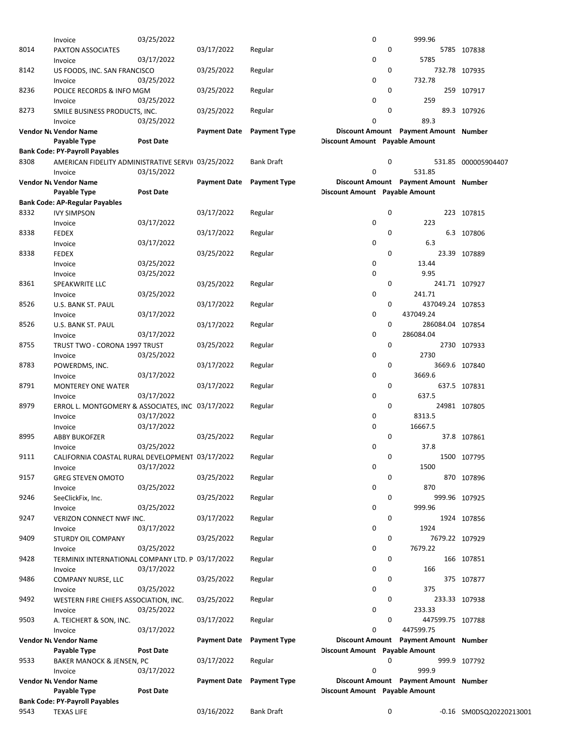|      | <b>Vendor Nt Vendor Name</b><br>Payable Type<br><b>Bank Code: PY-Payroll Payables</b> | <b>Post Date</b> | Payment Date        | <b>Payment Type</b> | <b>Discount Amount</b> Payable Amount |   | Discount Amount Payment Amount Number |                     |
|------|---------------------------------------------------------------------------------------|------------------|---------------------|---------------------|---------------------------------------|---|---------------------------------------|---------------------|
|      |                                                                                       |                  |                     |                     |                                       |   |                                       |                     |
|      |                                                                                       |                  |                     |                     |                                       |   |                                       |                     |
|      |                                                                                       |                  |                     |                     |                                       |   |                                       |                     |
|      | Invoice                                                                               | 03/17/2022       |                     |                     | $\mathbf 0$                           |   | 999.9                                 |                     |
| 9533 | <b>BAKER MANOCK &amp; JENSEN, PC</b>                                                  |                  | 03/17/2022          | Regular             |                                       | 0 |                                       | 999.9 107792        |
|      | Payable Type                                                                          | Post Date        |                     |                     | <b>Discount Amount</b> Payable Amount |   |                                       |                     |
|      | <b>Vendor Nt Vendor Name</b>                                                          |                  | <b>Payment Date</b> | <b>Payment Type</b> |                                       |   | Discount Amount Payment Amount Number |                     |
|      | Invoice                                                                               | 03/17/2022       |                     |                     | $\mathbf 0$                           |   | 447599.75                             |                     |
| 9503 | A. TEICHERT & SON, INC.                                                               |                  | 03/17/2022          | Regular             |                                       | 0 |                                       | 447599.75 107788    |
|      | Invoice                                                                               | 03/25/2022       |                     |                     | 0                                     |   | 233.33                                |                     |
| 9492 | WESTERN FIRE CHIEFS ASSOCIATION, INC.                                                 |                  | 03/25/2022          | Regular             |                                       | 0 |                                       | 233.33 107938       |
|      | Invoice                                                                               | 03/25/2022       |                     |                     | 0                                     |   | 375                                   |                     |
| 9486 | COMPANY NURSE, LLC                                                                    |                  | 03/25/2022          | Regular             |                                       | 0 |                                       | 375 107877          |
|      | Invoice                                                                               | 03/17/2022       |                     |                     | 0                                     |   | 166                                   |                     |
| 9428 | TERMINIX INTERNATIONAL COMPANY LTD. P 03/17/2022                                      |                  |                     | Regular             |                                       | 0 |                                       | 166 107851          |
|      | Invoice                                                                               | 03/25/2022       |                     |                     | 0                                     |   | 7679.22                               |                     |
| 9409 | STURDY OIL COMPANY                                                                    |                  | 03/25/2022          | Regular             |                                       | 0 |                                       | 7679.22 107929      |
|      | Invoice                                                                               | 03/17/2022       |                     |                     | 0                                     |   | 1924                                  |                     |
| 9247 | VERIZON CONNECT NWF INC.                                                              |                  | 03/17/2022          | Regular             |                                       | 0 |                                       | 1924 107856         |
|      | Invoice                                                                               | 03/25/2022       |                     |                     | 0                                     |   | 999.96                                |                     |
| 9246 | SeeClickFix, Inc.                                                                     |                  | 03/25/2022          | Regular             |                                       | 0 |                                       | 999.96 107925       |
|      | Invoice                                                                               | 03/25/2022       |                     |                     | 0                                     |   | 870                                   |                     |
| 9157 | <b>GREG STEVEN OMOTO</b>                                                              |                  | 03/25/2022          | Regular             |                                       | 0 |                                       | 870 107896          |
|      | Invoice                                                                               | 03/17/2022       |                     |                     | 0                                     |   | 1500                                  |                     |
| 9111 | CALIFORNIA COASTAL RURAL DEVELOPMENT 03/17/2022                                       |                  |                     | Regular             |                                       | 0 |                                       | 1500 107795         |
|      | Invoice                                                                               | 03/25/2022       |                     |                     | 0                                     |   | 37.8                                  |                     |
| 8995 | <b>ABBY BUKOFZER</b>                                                                  |                  | 03/25/2022          | Regular             |                                       | 0 |                                       | 37.8 107861         |
|      | Invoice                                                                               | 03/17/2022       |                     |                     | 0                                     |   | 16667.5                               |                     |
|      | Invoice                                                                               | 03/17/2022       |                     |                     | 0                                     |   | 8313.5                                |                     |
| 8979 | ERROL L. MONTGOMERY & ASSOCIATES, INC. 03/17/2022                                     |                  |                     | Regular             |                                       | 0 |                                       | 24981 107805        |
|      | Invoice                                                                               | 03/17/2022       |                     |                     | 0                                     |   | 637.5                                 |                     |
| 8791 | <b>MONTEREY ONE WATER</b>                                                             |                  | 03/17/2022          | Regular             |                                       | 0 |                                       | 637.5 107831        |
|      | Invoice                                                                               | 03/17/2022       |                     |                     | 0                                     |   | 3669.6                                |                     |
| 8783 | POWERDMS, INC.                                                                        |                  | 03/17/2022          | Regular             |                                       | 0 |                                       | 3669.6 107840       |
|      | Invoice                                                                               | 03/25/2022       |                     |                     | 0                                     |   | 2730                                  |                     |
| 8755 | TRUST TWO - CORONA 1997 TRUST                                                         |                  | 03/25/2022          | Regular             |                                       | 0 |                                       | 2730 107933         |
|      | Invoice                                                                               | 03/17/2022       |                     |                     | 0                                     |   | 286084.04                             |                     |
| 8526 | U.S. BANK ST. PAUL                                                                    |                  | 03/17/2022          | Regular             |                                       | 0 |                                       | 286084.04 107854    |
|      | Invoice                                                                               | 03/17/2022       |                     |                     | 0                                     |   | 437049.24                             |                     |
| 8526 | U.S. BANK ST. PAUL                                                                    |                  | 03/17/2022          | Regular             |                                       | 0 |                                       | 437049.24 107853    |
|      | Invoice                                                                               | 03/25/2022       |                     |                     |                                       |   |                                       |                     |
|      | SPEAKWRITE LLC                                                                        |                  |                     | Regular             | 0                                     |   | 241.71                                |                     |
| 8361 |                                                                                       |                  | 03/25/2022          |                     |                                       | 0 |                                       | 241.71 107927       |
|      | Invoice                                                                               | 03/25/2022       |                     |                     | 0                                     |   | 9.95                                  |                     |
|      | Invoice                                                                               | 03/25/2022       |                     |                     | 0                                     |   | 13.44                                 |                     |
| 8338 | <b>FEDEX</b>                                                                          |                  | 03/25/2022          | Regular             |                                       | 0 |                                       | 23.39 107889        |
|      | Invoice                                                                               | 03/17/2022       |                     |                     | 0                                     |   | 6.3                                   |                     |
| 8338 | Invoice<br><b>FEDEX</b>                                                               |                  | 03/17/2022          | Regular             |                                       | 0 |                                       | 6.3 107806          |
| 8332 | <b>IVY SIMPSON</b>                                                                    | 03/17/2022       | 03/17/2022          | Regular             | 0                                     |   | 223                                   | 223 107815          |
|      | <b>Bank Code: AP-Regular Payables</b>                                                 |                  |                     |                     |                                       | 0 |                                       |                     |
|      | Payable Type                                                                          | <b>Post Date</b> |                     |                     | <b>Discount Amount</b> Payable Amount |   |                                       |                     |
|      | Vendor Nt Vendor Name                                                                 |                  | <b>Payment Date</b> | <b>Payment Type</b> |                                       |   | Discount Amount Payment Amount Number |                     |
|      | Invoice                                                                               | 03/15/2022       |                     |                     | $\mathbf 0$                           |   | 531.85                                |                     |
| 8308 | AMERICAN FIDELITY ADMINISTRATIVE SERVII 03/25/2022                                    |                  |                     | <b>Bank Draft</b>   |                                       | 0 |                                       | 531.85 000005904407 |
|      | <b>Bank Code: PY-Payroll Payables</b>                                                 |                  |                     |                     |                                       |   |                                       |                     |
|      | Payable Type                                                                          | <b>Post Date</b> |                     |                     | <b>Discount Amount</b> Payable Amount |   |                                       |                     |
|      | <b>Vendor Nt Vendor Name</b>                                                          |                  | <b>Payment Date</b> | <b>Payment Type</b> |                                       |   | Discount Amount Payment Amount Number |                     |
|      | Invoice                                                                               | 03/25/2022       |                     |                     | $\mathbf 0$                           |   | 89.3                                  |                     |
| 8273 | SMILE BUSINESS PRODUCTS, INC.                                                         |                  | 03/25/2022          | Regular             |                                       | 0 |                                       | 89.3 107926         |
|      | Invoice                                                                               | 03/25/2022       |                     |                     | 0                                     |   | 259                                   |                     |
| 8236 | POLICE RECORDS & INFO MGM                                                             |                  | 03/25/2022          | Regular             |                                       | 0 |                                       | 259 107917          |
|      | Invoice                                                                               | 03/25/2022       |                     |                     | 0                                     |   | 732.78                                |                     |
| 8142 | US FOODS, INC. SAN FRANCISCO                                                          |                  | 03/25/2022          | Regular             |                                       | 0 |                                       | 732.78 107935       |
|      | Invoice                                                                               | 03/17/2022       |                     |                     | 0                                     |   | 5785                                  |                     |
| 8014 | PAXTON ASSOCIATES                                                                     |                  | 03/17/2022          | Regular             |                                       | 0 |                                       | 5785 107838         |
|      | Invoice                                                                               | 03/25/2022       |                     |                     | 0                                     |   | 999.96                                |                     |